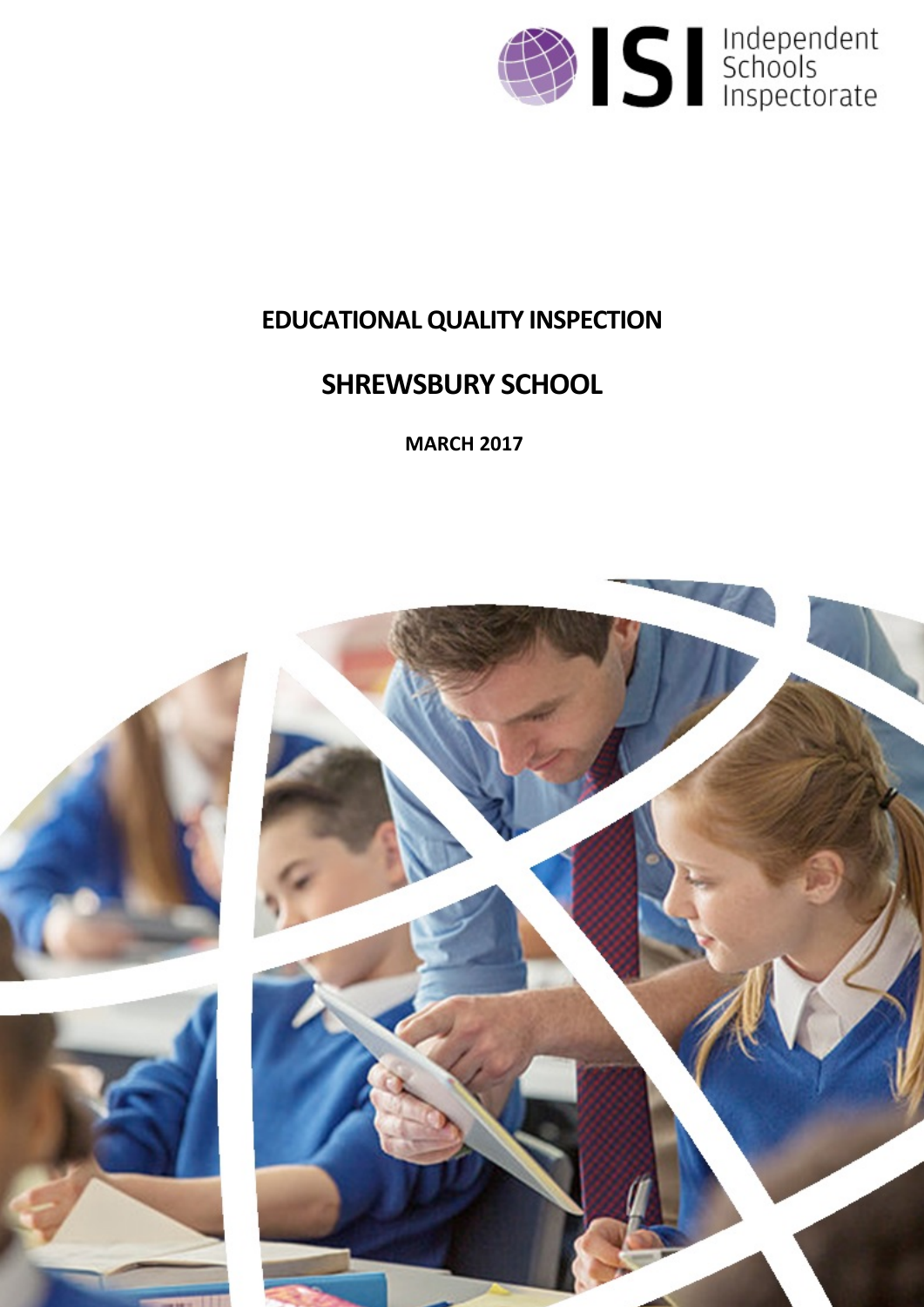

# **EDUCATIONALQUALITY INSPECTION**

# **SHREWSBURY SCHOOL**

**MARCH 2017**

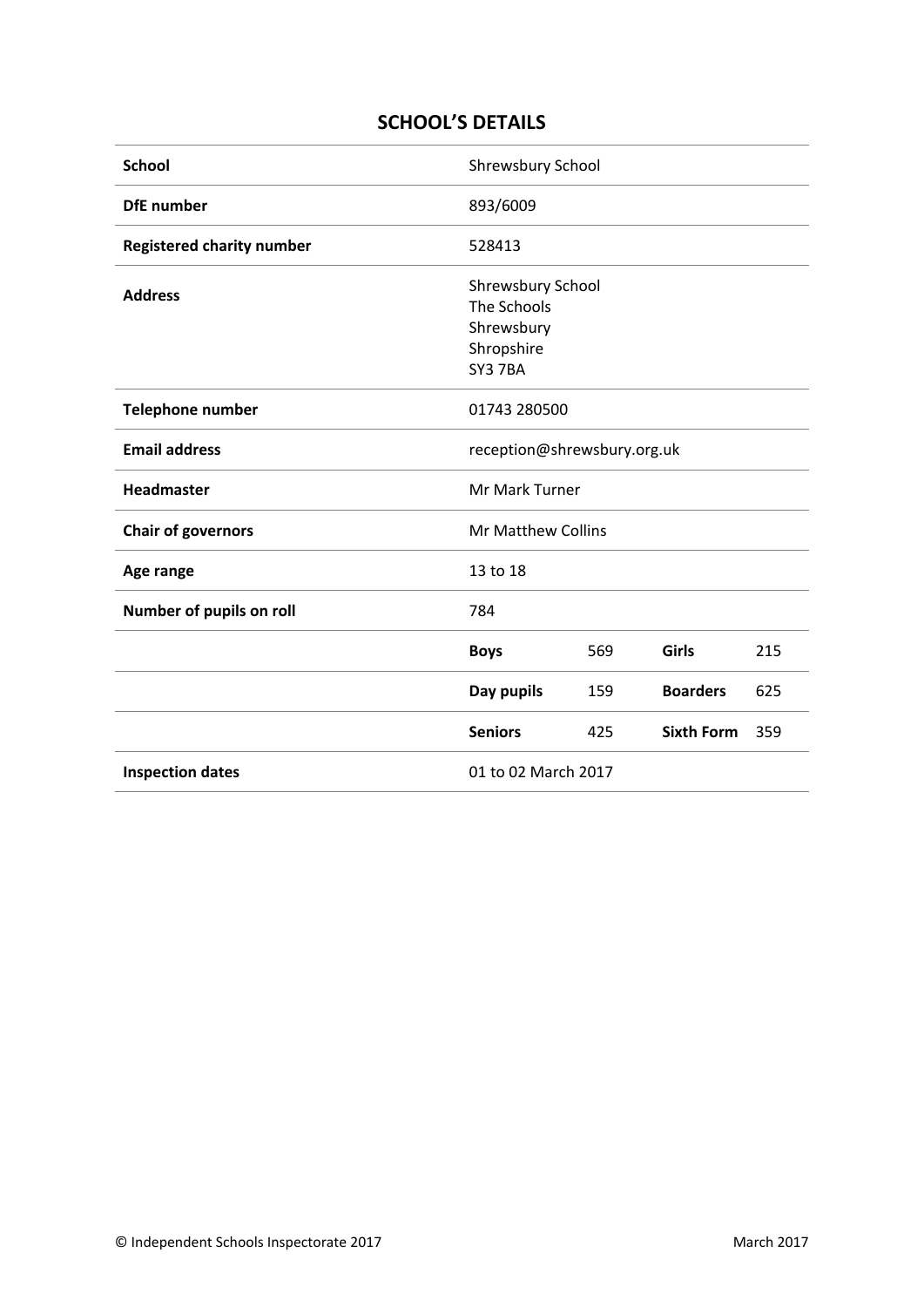## **SCHOOL'S DETAILS**

| <b>School</b>                    | Shrewsbury School                                                       |     |                   |     |
|----------------------------------|-------------------------------------------------------------------------|-----|-------------------|-----|
| <b>DfE</b> number                | 893/6009                                                                |     |                   |     |
| <b>Registered charity number</b> | 528413                                                                  |     |                   |     |
| <b>Address</b>                   | Shrewsbury School<br>The Schools<br>Shrewsbury<br>Shropshire<br>SY3 7BA |     |                   |     |
| <b>Telephone number</b>          | 01743 280500                                                            |     |                   |     |
| <b>Email address</b>             | reception@shrewsbury.org.uk                                             |     |                   |     |
| <b>Headmaster</b>                | Mr Mark Turner                                                          |     |                   |     |
| <b>Chair of governors</b>        | <b>Mr Matthew Collins</b>                                               |     |                   |     |
| Age range                        | 13 to 18                                                                |     |                   |     |
| Number of pupils on roll         | 784                                                                     |     |                   |     |
|                                  | <b>Boys</b>                                                             | 569 | Girls             | 215 |
|                                  | Day pupils                                                              | 159 | <b>Boarders</b>   | 625 |
|                                  | <b>Seniors</b>                                                          | 425 | <b>Sixth Form</b> | 359 |
| <b>Inspection dates</b>          | 01 to 02 March 2017                                                     |     |                   |     |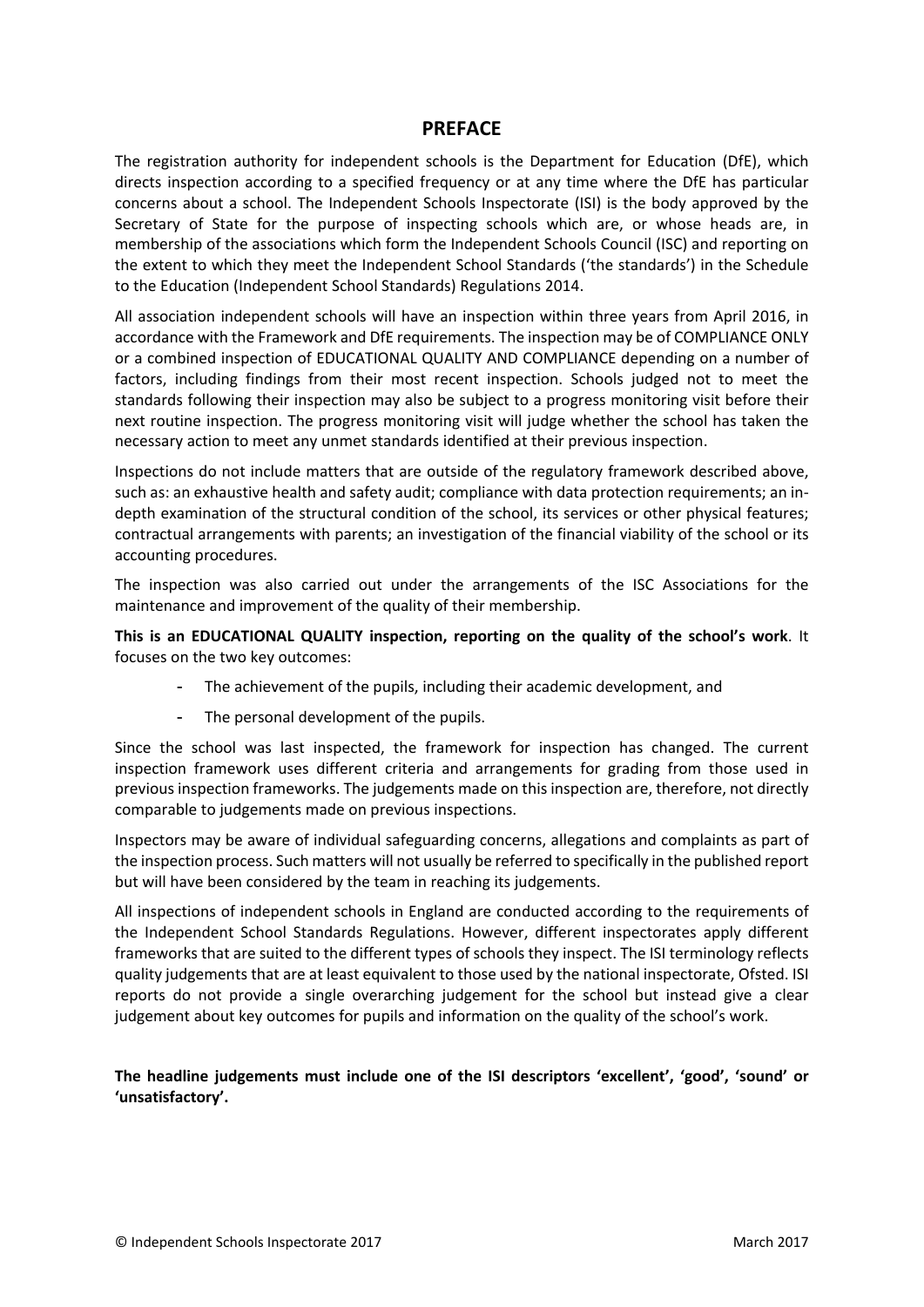#### **PREFACE**

The registration authority for independent schools is the Department for Education (DfE), which directs inspection according to a specified frequency or at any time where the DfE has particular concerns about a school. The Independent Schools Inspectorate (ISI) is the body approved by the Secretary of State for the purpose of inspecting schools which are, or whose heads are, in membership of the associations which form the Independent Schools Council (ISC) and reporting on the extent to which they meet the Independent School Standards ('the standards') in the Schedule to the Education (Independent School Standards) Regulations 2014.

All association independent schools will have an inspection within three years from April 2016, in accordance with the Framework and DfE requirements. The inspection may be of COMPLIANCE ONLY or a combined inspection of EDUCATIONAL QUALITY AND COMPLIANCE depending on a number of factors, including findings from their most recent inspection. Schools judged not to meet the standards following their inspection may also be subject to a progress monitoring visit before their next routine inspection. The progress monitoring visit will judge whether the school has taken the necessary action to meet any unmet standards identified at their previous inspection.

Inspections do not include matters that are outside of the regulatory framework described above, such as: an exhaustive health and safety audit; compliance with data protection requirements; an indepth examination of the structural condition of the school, its services or other physical features; contractual arrangements with parents; an investigation of the financial viability of the school or its accounting procedures.

The inspection was also carried out under the arrangements of the ISC Associations for the maintenance and improvement of the quality of their membership.

**This is an EDUCATIONAL QUALITY inspection, reporting on the quality of the school's work**. It focuses on the two key outcomes:

- The achievement of the pupils, including their academic development, and
- The personal development of the pupils.

Since the school was last inspected, the framework for inspection has changed. The current inspection framework uses different criteria and arrangements for grading from those used in previous inspection frameworks. The judgements made on this inspection are, therefore, not directly comparable to judgements made on previous inspections.

Inspectors may be aware of individual safeguarding concerns, allegations and complaints as part of the inspection process. Such matters will not usually be referred to specifically in the published report but will have been considered by the team in reaching its judgements.

All inspections of independent schools in England are conducted according to the requirements of the Independent School Standards Regulations. However, different inspectorates apply different frameworks that are suited to the different types of schools they inspect. The ISI terminology reflects quality judgements that are at least equivalent to those used by the national inspectorate, Ofsted. ISI reports do not provide a single overarching judgement for the school but instead give a clear judgement about key outcomes for pupils and information on the quality of the school's work.

**The headline judgements must include one of the ISI descriptors 'excellent', 'good', 'sound' or 'unsatisfactory'.**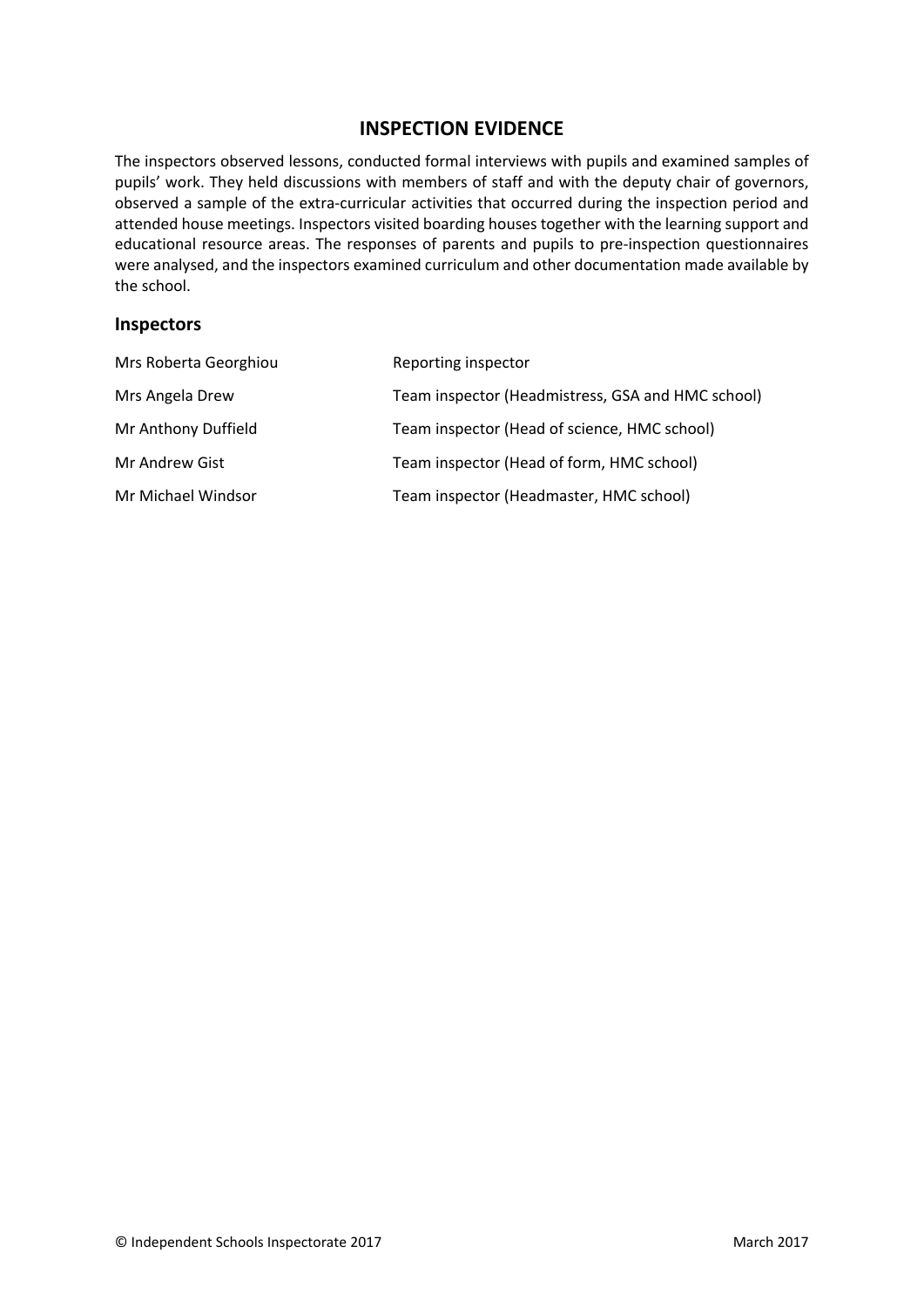## **INSPECTION EVIDENCE**

The inspectors observed lessons, conducted formal interviews with pupils and examined samples of pupils' work. They held discussions with members of staff and with the deputy chair of governors, observed a sample of the extra-curricular activities that occurred during the inspection period and attended house meetings. Inspectors visited boarding houses together with the learning support and educational resource areas. The responses of parents and pupils to pre-inspection questionnaires were analysed, and the inspectors examined curriculum and other documentation made available by the school.

#### **Inspectors**

| Mrs Roberta Georghiou | Reporting inspector                               |
|-----------------------|---------------------------------------------------|
| Mrs Angela Drew       | Team inspector (Headmistress, GSA and HMC school) |
| Mr Anthony Duffield   | Team inspector (Head of science, HMC school)      |
| Mr Andrew Gist        | Team inspector (Head of form, HMC school)         |
| Mr Michael Windsor    | Team inspector (Headmaster, HMC school)           |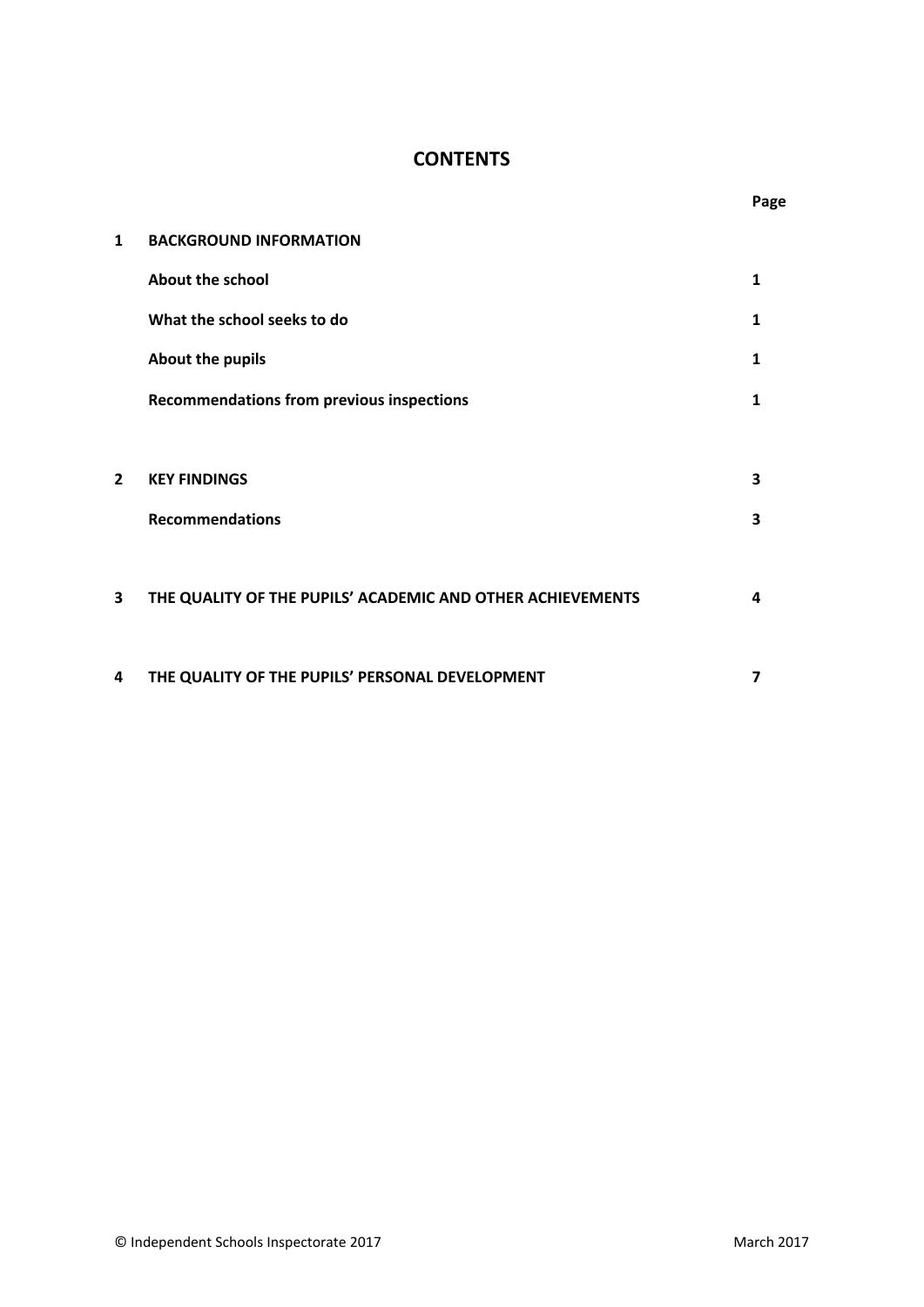## **CONTENTS**

| $\mathbf{1}$   | <b>BACKGROUND INFORMATION</b>                              |   |
|----------------|------------------------------------------------------------|---|
|                | <b>About the school</b>                                    | 1 |
|                | What the school seeks to do                                | 1 |
|                | About the pupils                                           | 1 |
|                | <b>Recommendations from previous inspections</b>           | 1 |
|                |                                                            |   |
| $\overline{2}$ | <b>KEY FINDINGS</b>                                        | 3 |
|                | <b>Recommendations</b>                                     | 3 |
|                |                                                            |   |
| 3              | THE QUALITY OF THE PUPILS' ACADEMIC AND OTHER ACHIEVEMENTS | 4 |
|                |                                                            |   |
| 4              | THE QUALITY OF THE PUPILS' PERSONAL DEVELOPMENT            | 7 |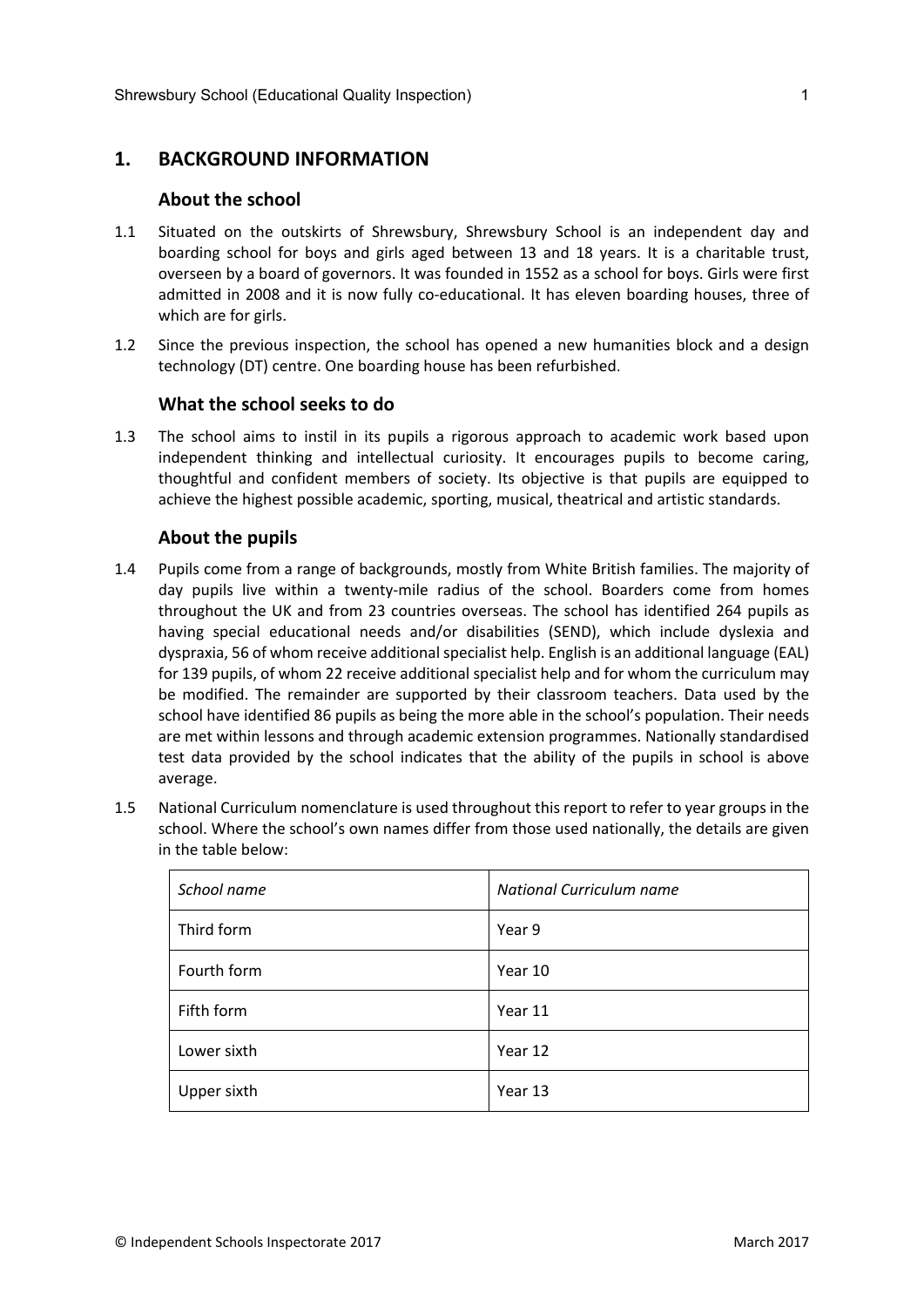## **1. BACKGROUND INFORMATION**

#### **About the school**

- 1.1 Situated on the outskirts of Shrewsbury, Shrewsbury School is an independent day and boarding school for boys and girls aged between 13 and 18 years. It is a charitable trust, overseen by a board of governors. It was founded in 1552 as a school for boys. Girls were first admitted in 2008 and it is now fully co-educational. It has eleven boarding houses, three of which are for girls.
- 1.2 Since the previous inspection, the school has opened a new humanities block and a design technology (DT) centre. One boarding house has been refurbished.

#### **What the school seeks to do**

1.3 The school aims to instil in its pupils a rigorous approach to academic work based upon independent thinking and intellectual curiosity. It encourages pupils to become caring, thoughtful and confident members of society. Its objective is that pupils are equipped to achieve the highest possible academic, sporting, musical, theatrical and artistic standards.

#### **About the pupils**

- 1.4 Pupils come from a range of backgrounds, mostly from White British families. The majority of day pupils live within a twenty-mile radius of the school. Boarders come from homes throughout the UK and from 23 countries overseas. The school has identified 264 pupils as having special educational needs and/or disabilities (SEND), which include dyslexia and dyspraxia, 56 of whom receive additional specialist help. English is an additional language (EAL) for 139 pupils, of whom 22 receive additional specialist help and for whom the curriculum may be modified. The remainder are supported by their classroom teachers. Data used by the school have identified 86 pupils as being the more able in the school's population. Their needs are met within lessons and through academic extension programmes. Nationally standardised test data provided by the school indicates that the ability of the pupils in school is above average.
- 1.5 National Curriculum nomenclature is used throughout this report to refer to year groups in the school. Where the school's own names differ from those used nationally, the details are given in the table below:

| School name | National Curriculum name |
|-------------|--------------------------|
| Third form  | Year 9                   |
| Fourth form | Year 10                  |
| Fifth form  | Year 11                  |
| Lower sixth | Year 12                  |
| Upper sixth | Year 13                  |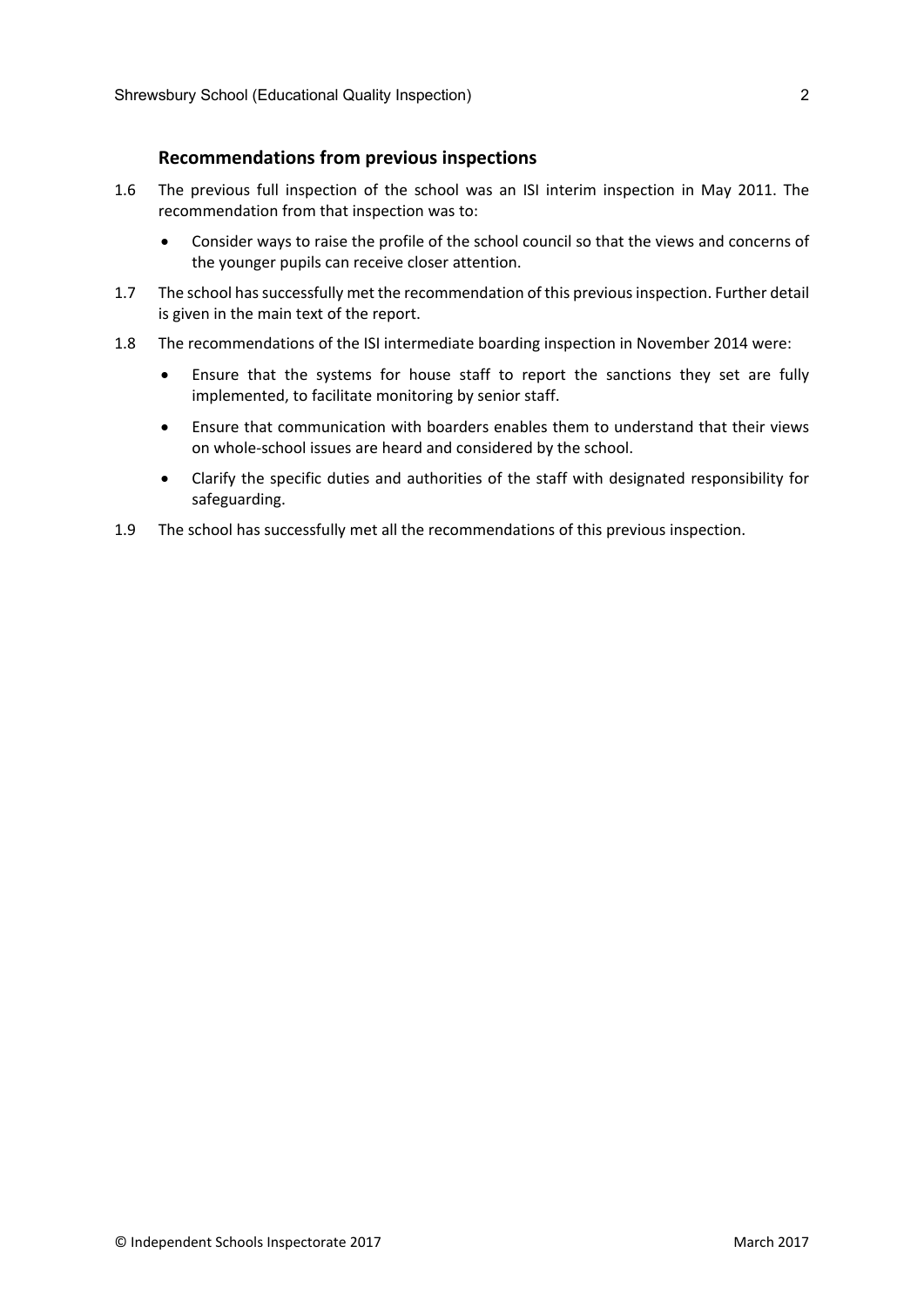#### **Recommendations from previous inspections**

- 1.6 The previous full inspection of the school was an ISI interim inspection in May 2011. The recommendation from that inspection was to:
	- Consider ways to raise the profile of the school council so that the views and concerns of the younger pupils can receive closer attention.
- 1.7 The school has successfully met the recommendation of this previous inspection. Further detail is given in the main text of the report.
- 1.8 The recommendations of the ISI intermediate boarding inspection in November 2014 were:
	- Ensure that the systems for house staff to report the sanctions they set are fully implemented, to facilitate monitoring by senior staff.
	- Ensure that communication with boarders enables them to understand that their views on whole-school issues are heard and considered by the school.
	- Clarify the specific duties and authorities of the staff with designated responsibility for safeguarding.
- 1.9 The school has successfully met all the recommendations of this previous inspection.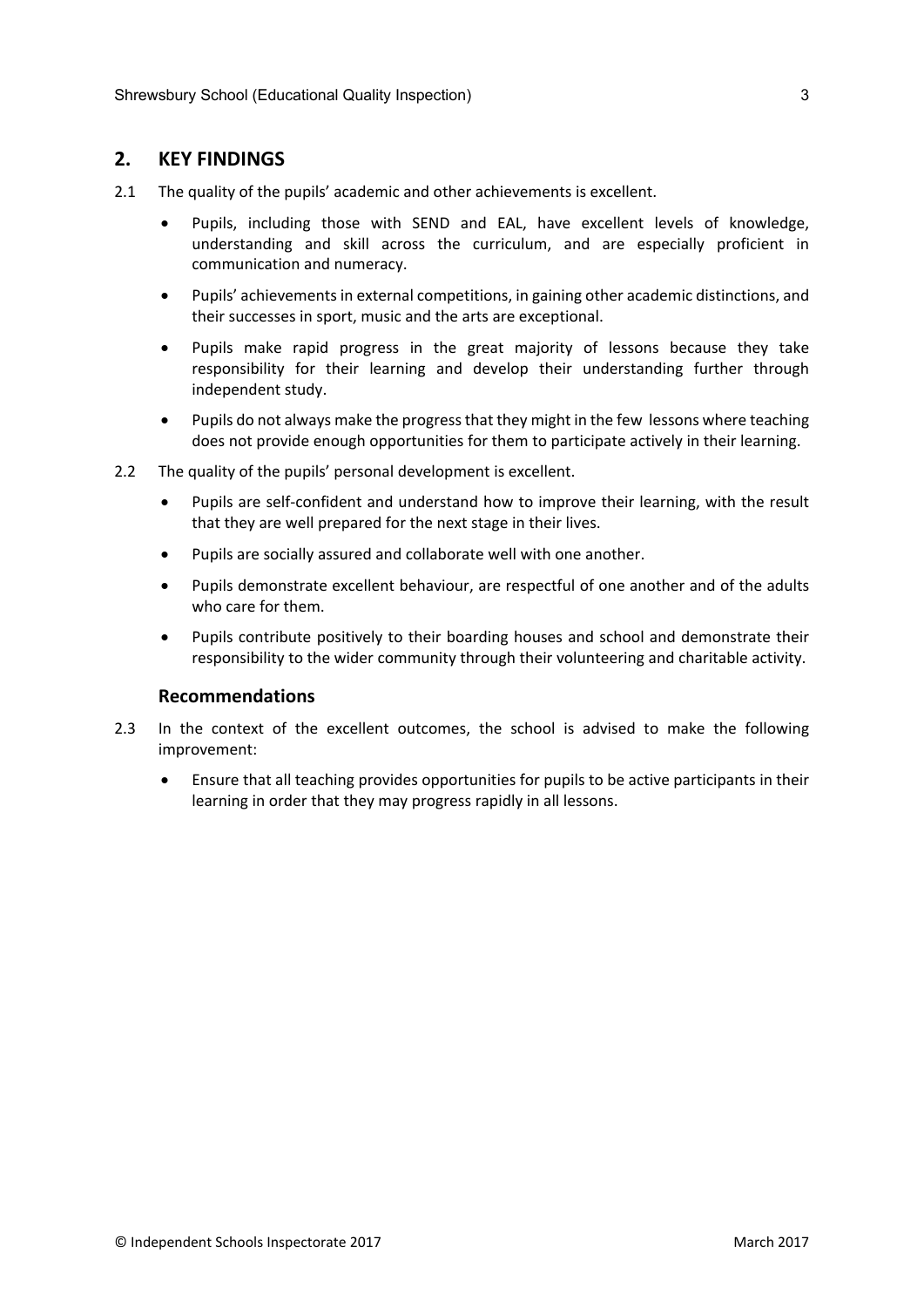## **2. KEY FINDINGS**

- 2.1 The quality of the pupils' academic and other achievements is excellent.
	- Pupils, including those with SEND and EAL, have excellent levels of knowledge, understanding and skill across the curriculum, and are especially proficient in communication and numeracy.
	- Pupils' achievements in external competitions, in gaining other academic distinctions, and their successes in sport, music and the arts are exceptional.
	- Pupils make rapid progress in the great majority of lessons because they take responsibility for their learning and develop their understanding further through independent study.
	- Pupils do not always make the progressthat they might in the few lessons where teaching does not provide enough opportunities for them to participate actively in their learning.
- 2.2 The quality of the pupils' personal development is excellent.
	- Pupils are self-confident and understand how to improve their learning, with the result that they are well prepared for the next stage in their lives.
	- Pupils are socially assured and collaborate well with one another.
	- Pupils demonstrate excellent behaviour, are respectful of one another and of the adults who care for them.
	- Pupils contribute positively to their boarding houses and school and demonstrate their responsibility to the wider community through their volunteering and charitable activity.

#### **Recommendations**

- 2.3 In the context of the excellent outcomes, the school is advised to make the following improvement:
	- Ensure that all teaching provides opportunities for pupils to be active participants in their learning in order that they may progress rapidly in all lessons.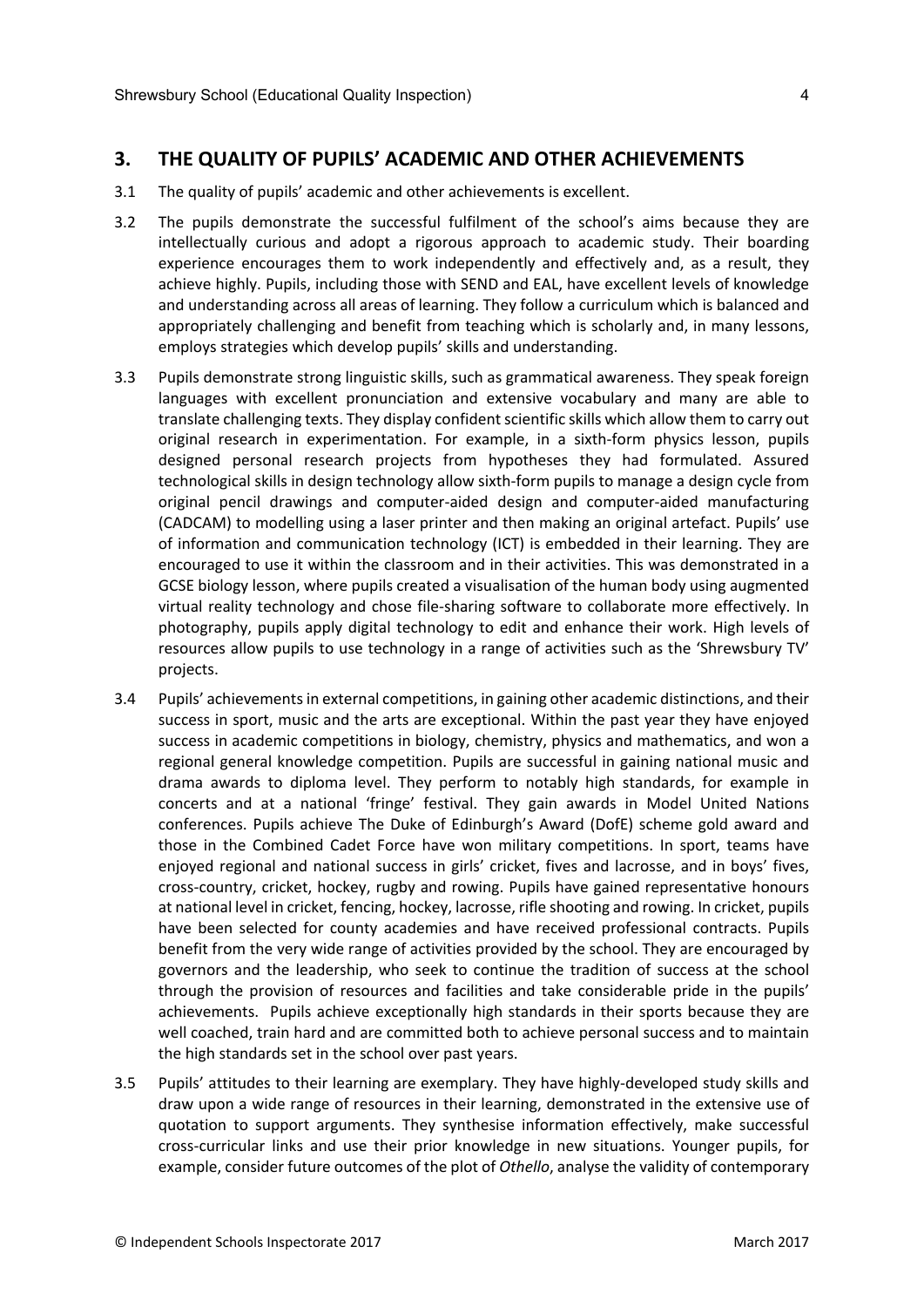#### **3. THE QUALITY OF PUPILS' ACADEMIC AND OTHER ACHIEVEMENTS**

- 3.1 The quality of pupils' academic and other achievements is excellent.
- 3.2 The pupils demonstrate the successful fulfilment of the school's aims because they are intellectually curious and adopt a rigorous approach to academic study. Their boarding experience encourages them to work independently and effectively and, as a result, they achieve highly. Pupils, including those with SEND and EAL, have excellent levels of knowledge and understanding across all areas of learning. They follow a curriculum which is balanced and appropriately challenging and benefit from teaching which is scholarly and, in many lessons, employs strategies which develop pupils' skills and understanding.
- 3.3 Pupils demonstrate strong linguistic skills, such as grammatical awareness. They speak foreign languages with excellent pronunciation and extensive vocabulary and many are able to translate challenging texts. They display confident scientific skills which allow them to carry out original research in experimentation. For example, in a sixth-form physics lesson, pupils designed personal research projects from hypotheses they had formulated. Assured technological skills in design technology allow sixth-form pupils to manage a design cycle from original pencil drawings and computer-aided design and computer-aided manufacturing (CADCAM) to modelling using a laser printer and then making an original artefact. Pupils' use of information and communication technology (ICT) is embedded in their learning. They are encouraged to use it within the classroom and in their activities. This was demonstrated in a GCSE biology lesson, where pupils created a visualisation of the human body using augmented virtual reality technology and chose file-sharing software to collaborate more effectively. In photography, pupils apply digital technology to edit and enhance their work. High levels of resources allow pupils to use technology in a range of activities such as the 'Shrewsbury TV' projects.
- 3.4 Pupils' achievements in external competitions, in gaining other academic distinctions, and their success in sport, music and the arts are exceptional. Within the past year they have enjoyed success in academic competitions in biology, chemistry, physics and mathematics, and won a regional general knowledge competition. Pupils are successful in gaining national music and drama awards to diploma level. They perform to notably high standards, for example in concerts and at a national 'fringe' festival. They gain awards in Model United Nations conferences. Pupils achieve The Duke of Edinburgh's Award (DofE) scheme gold award and those in the Combined Cadet Force have won military competitions. In sport, teams have enjoyed regional and national success in girls' cricket, fives and lacrosse, and in boys' fives, cross-country, cricket, hockey, rugby and rowing. Pupils have gained representative honours at national level in cricket, fencing, hockey, lacrosse, rifle shooting and rowing. In cricket, pupils have been selected for county academies and have received professional contracts. Pupils benefit from the very wide range of activities provided by the school. They are encouraged by governors and the leadership, who seek to continue the tradition of success at the school through the provision of resources and facilities and take considerable pride in the pupils' achievements. Pupils achieve exceptionally high standards in their sports because they are well coached, train hard and are committed both to achieve personal success and to maintain the high standards set in the school over past years.
- 3.5 Pupils' attitudes to their learning are exemplary. They have highly-developed study skills and draw upon a wide range of resources in their learning, demonstrated in the extensive use of quotation to support arguments. They synthesise information effectively, make successful cross-curricular links and use their prior knowledge in new situations. Younger pupils, for example, consider future outcomes of the plot of *Othello*, analyse the validity of contemporary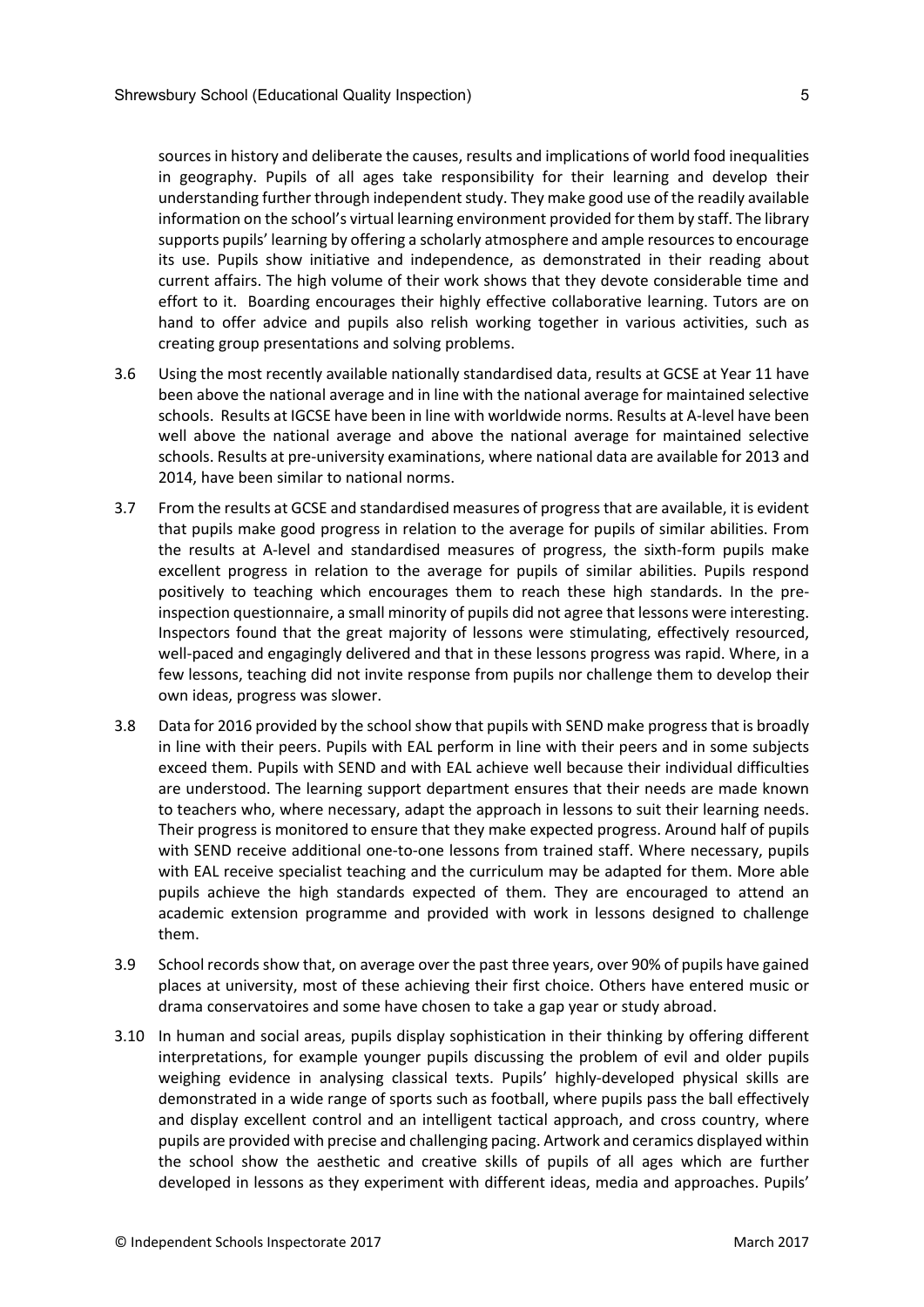sources in history and deliberate the causes, results and implications of world food inequalities in geography. Pupils of all ages take responsibility for their learning and develop their understanding further through independent study. They make good use of the readily available information on the school's virtual learning environment provided for them by staff. The library supports pupils' learning by offering a scholarly atmosphere and ample resources to encourage its use. Pupils show initiative and independence, as demonstrated in their reading about current affairs. The high volume of their work shows that they devote considerable time and effort to it. Boarding encourages their highly effective collaborative learning. Tutors are on hand to offer advice and pupils also relish working together in various activities, such as creating group presentations and solving problems.

- 3.6 Using the most recently available nationally standardised data, results at GCSE at Year 11 have been above the national average and in line with the national average for maintained selective schools. Results at IGCSE have been in line with worldwide norms. Results at A-level have been well above the national average and above the national average for maintained selective schools. Results at pre-university examinations, where national data are available for 2013 and 2014, have been similar to national norms.
- 3.7 From the results at GCSE and standardised measures of progressthat are available, it is evident that pupils make good progress in relation to the average for pupils of similar abilities. From the results at A-level and standardised measures of progress, the sixth-form pupils make excellent progress in relation to the average for pupils of similar abilities. Pupils respond positively to teaching which encourages them to reach these high standards. In the preinspection questionnaire, a small minority of pupils did not agree that lessons were interesting. Inspectors found that the great majority of lessons were stimulating, effectively resourced, well-paced and engagingly delivered and that in these lessons progress was rapid. Where, in a few lessons, teaching did not invite response from pupils nor challenge them to develop their own ideas, progress was slower.
- 3.8 Data for 2016 provided by the schoolshow that pupils with SEND make progressthat is broadly in line with their peers. Pupils with EAL perform in line with their peers and in some subjects exceed them. Pupils with SEND and with EAL achieve well because their individual difficulties are understood. The learning support department ensures that their needs are made known to teachers who, where necessary, adapt the approach in lessons to suit their learning needs. Their progress is monitored to ensure that they make expected progress. Around half of pupils with SEND receive additional one-to-one lessons from trained staff. Where necessary, pupils with EAL receive specialist teaching and the curriculum may be adapted for them. More able pupils achieve the high standards expected of them. They are encouraged to attend an academic extension programme and provided with work in lessons designed to challenge them.
- 3.9 School records show that, on average over the past three years, over 90% of pupils have gained places at university, most of these achieving their first choice. Others have entered music or drama conservatoires and some have chosen to take a gap year or study abroad.
- 3.10 In human and social areas, pupils display sophistication in their thinking by offering different interpretations, for example younger pupils discussing the problem of evil and older pupils weighing evidence in analysing classical texts. Pupils' highly-developed physical skills are demonstrated in a wide range of sports such as football, where pupils pass the ball effectively and display excellent control and an intelligent tactical approach, and cross country, where pupils are provided with precise and challenging pacing. Artwork and ceramics displayed within the school show the aesthetic and creative skills of pupils of all ages which are further developed in lessons as they experiment with different ideas, media and approaches. Pupils'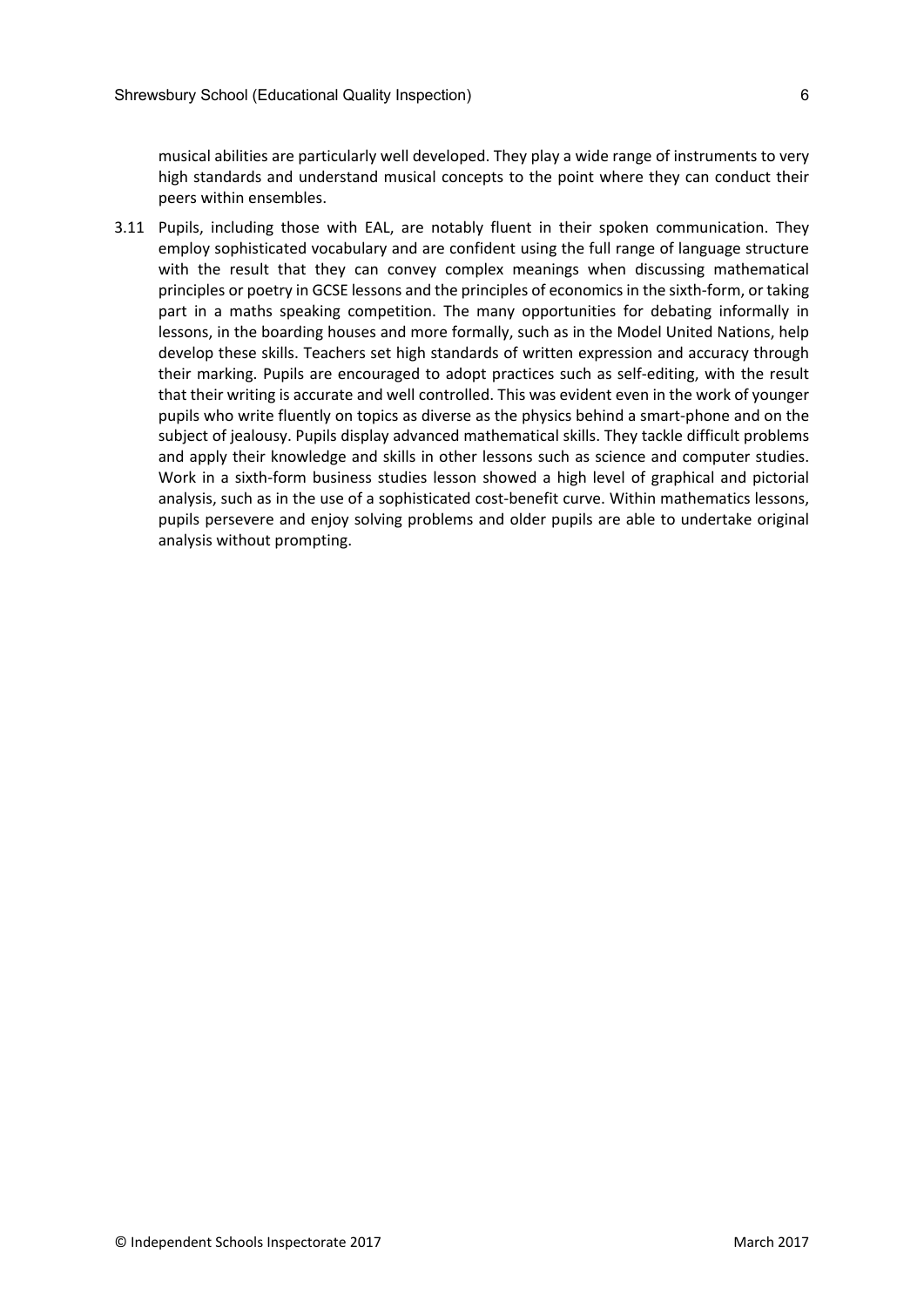musical abilities are particularly well developed. They play a wide range of instruments to very high standards and understand musical concepts to the point where they can conduct their peers within ensembles.

3.11 Pupils, including those with EAL, are notably fluent in their spoken communication. They employ sophisticated vocabulary and are confident using the full range of language structure with the result that they can convey complex meanings when discussing mathematical principles or poetry in GCSE lessons and the principles of economics in the sixth-form, or taking part in a maths speaking competition. The many opportunities for debating informally in lessons, in the boarding houses and more formally, such as in the Model United Nations, help develop these skills. Teachers set high standards of written expression and accuracy through their marking. Pupils are encouraged to adopt practices such as self-editing, with the result that their writing is accurate and well controlled. This was evident even in the work of younger pupils who write fluently on topics as diverse as the physics behind a smart-phone and on the subject of jealousy. Pupils display advanced mathematical skills. They tackle difficult problems and apply their knowledge and skills in other lessons such as science and computer studies. Work in a sixth-form business studies lesson showed a high level of graphical and pictorial analysis, such as in the use of a sophisticated cost-benefit curve. Within mathematics lessons, pupils persevere and enjoy solving problems and older pupils are able to undertake original analysis without prompting.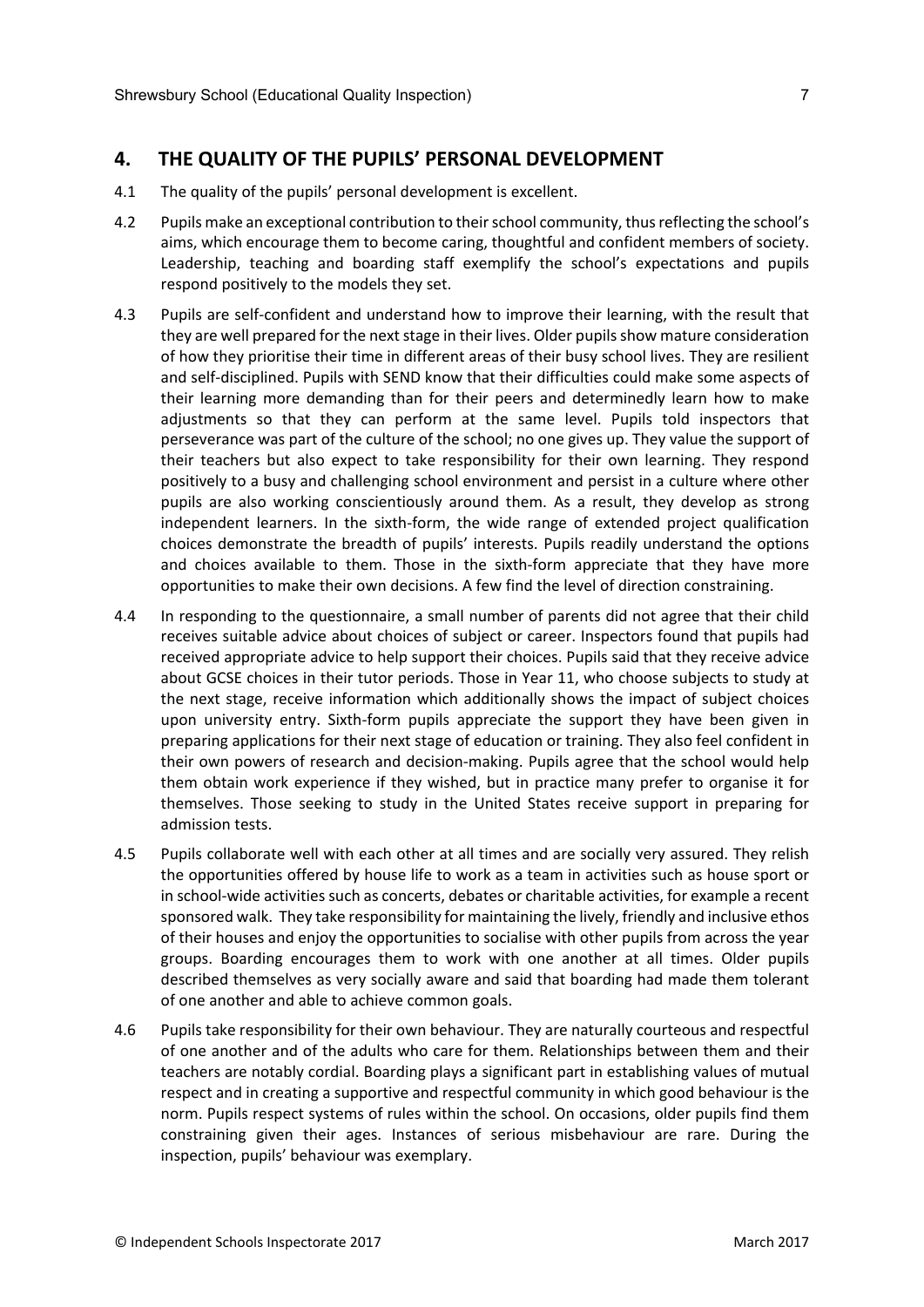## **4. THE QUALITY OF THE PUPILS' PERSONAL DEVELOPMENT**

- 4.1 The quality of the pupils' personal development is excellent.
- 4.2 Pupils make an exceptional contribution to theirschool community, thusreflecting the school's aims, which encourage them to become caring, thoughtful and confident members of society. Leadership, teaching and boarding staff exemplify the school's expectations and pupils respond positively to the models they set.
- 4.3 Pupils are self-confident and understand how to improve their learning, with the result that they are well prepared for the next stage in their lives. Older pupils show mature consideration of how they prioritise their time in different areas of their busy school lives. They are resilient and self-disciplined. Pupils with SEND know that their difficulties could make some aspects of their learning more demanding than for their peers and determinedly learn how to make adjustments so that they can perform at the same level. Pupils told inspectors that perseverance was part of the culture of the school; no one gives up. They value the support of their teachers but also expect to take responsibility for their own learning. They respond positively to a busy and challenging school environment and persist in a culture where other pupils are also working conscientiously around them. As a result, they develop as strong independent learners. In the sixth-form, the wide range of extended project qualification choices demonstrate the breadth of pupils' interests. Pupils readily understand the options and choices available to them. Those in the sixth-form appreciate that they have more opportunities to make their own decisions. A few find the level of direction constraining.
- 4.4 In responding to the questionnaire, a small number of parents did not agree that their child receives suitable advice about choices of subject or career. Inspectors found that pupils had received appropriate advice to help support their choices. Pupils said that they receive advice about GCSE choices in their tutor periods. Those in Year 11, who choose subjects to study at the next stage, receive information which additionally shows the impact of subject choices upon university entry. Sixth-form pupils appreciate the support they have been given in preparing applications for their next stage of education or training. They also feel confident in their own powers of research and decision-making. Pupils agree that the school would help them obtain work experience if they wished, but in practice many prefer to organise it for themselves. Those seeking to study in the United States receive support in preparing for admission tests.
- 4.5 Pupils collaborate well with each other at all times and are socially very assured. They relish the opportunities offered by house life to work as a team in activities such as house sport or in school-wide activities such as concerts, debates or charitable activities, for example a recent sponsored walk. They take responsibility for maintaining the lively, friendly and inclusive ethos of their houses and enjoy the opportunities to socialise with other pupils from across the year groups. Boarding encourages them to work with one another at all times. Older pupils described themselves as very socially aware and said that boarding had made them tolerant of one another and able to achieve common goals.
- 4.6 Pupils take responsibility for their own behaviour. They are naturally courteous and respectful of one another and of the adults who care for them. Relationships between them and their teachers are notably cordial. Boarding plays a significant part in establishing values of mutual respect and in creating a supportive and respectful community in which good behaviour is the norm. Pupils respect systems of rules within the school. On occasions, older pupils find them constraining given their ages. Instances of serious misbehaviour are rare. During the inspection, pupils' behaviour was exemplary.